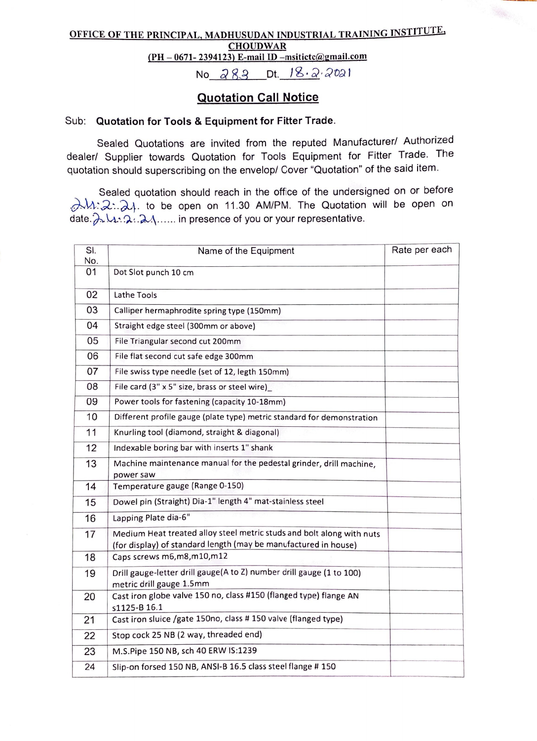## OFFICE OF THE PRINCIPAL, MADHUSUDAN INDUSTRIAL TRAINING INSTITUTE, **CHOUDWAR**  $(PH-0671-2394123)$  E-mail ID -msiticte@gmail.com

No  $283$  Dt.  $18.222021$ 

## Quotation Call Notice

## Sub: Quotation for Tools & Equipment for Fitter Trade.

Sealed Quotations are invited from the reputed Manufacturer/ Authorized dealer/ Supplier towards Quotation for Tools Equipment for Fitter Trade. The quotation should superscribing on the envelop/ Cover "Quotation" of the said item.

Sealed quotation should reach in the office of the undersigned on or before A.M. 2:. 24. to be open on 11.30 AM/PM. The Quotation will be open on date. $\lambda$  ...... in presence of you or your representative.

| SI.<br>No. | Name of the Equipment                                                                                                                    | Rate per each |
|------------|------------------------------------------------------------------------------------------------------------------------------------------|---------------|
| 01         | Dot Slot punch 10 cm                                                                                                                     |               |
| 02         | Lathe Tools                                                                                                                              |               |
| 03         | Calliper hermaphrodite spring type (150mm)                                                                                               |               |
| 04         |                                                                                                                                          |               |
|            | Straight edge steel (300mm or above)                                                                                                     |               |
| 05         | File Triangular second cut 200mm                                                                                                         |               |
| 06         | File flat second cut safe edge 300mm                                                                                                     |               |
| 07         | File swiss type needle (set of 12, legth 150mm)                                                                                          |               |
| 08         | File card (3" x 5" size, brass or steel wire)                                                                                            |               |
| 09         | Power tools for fastening (capacity 10-18mm)                                                                                             |               |
| 10         | Different profile gauge (plate type) metric standard for demonstration                                                                   |               |
| 11         | Knurling tool (diamond, straight & diagonal)                                                                                             |               |
| 12         | Indexable boring bar with inserts 1" shank                                                                                               |               |
| 13         | Machine maintenance manual for the pedestal grinder, drill machine,<br>power saw                                                         |               |
| 14         | Temperature gauge (Range 0-150)                                                                                                          |               |
| 15         | Dowel pin (Straight) Dia-1" length 4" mat-stainless steel                                                                                |               |
| 16         | Lapping Plate dia-6"                                                                                                                     |               |
| 17         | Medium Heat treated alloy steel metric studs and bolt along with nuts<br>(for display) of standard length (may be manufactured in house) |               |
| 18         | Caps screws m6,m8,m10,m12                                                                                                                |               |
| 19         | Drill gauge-letter drill gauge(A to Z) number drill gauge (1 to 100)<br>metric drill gauge 1.5mm                                         |               |
| 20         | Cast iron globe valve 150 no, class #150 (flanged type) flange AN<br>s1125-B 16.1                                                        |               |
| 21         | Cast iron sluice /gate 150no, class # 150 valve (flanged type)                                                                           |               |
| 22         | Stop cock 25 NB (2 way, threaded end)                                                                                                    |               |
| 23         | M.S.Pipe 150 NB, sch 40 ERW IS:1239                                                                                                      |               |
| 24         | Slip-on forsed 150 NB, ANSI-B 16.5 class steel flange # 150                                                                              |               |